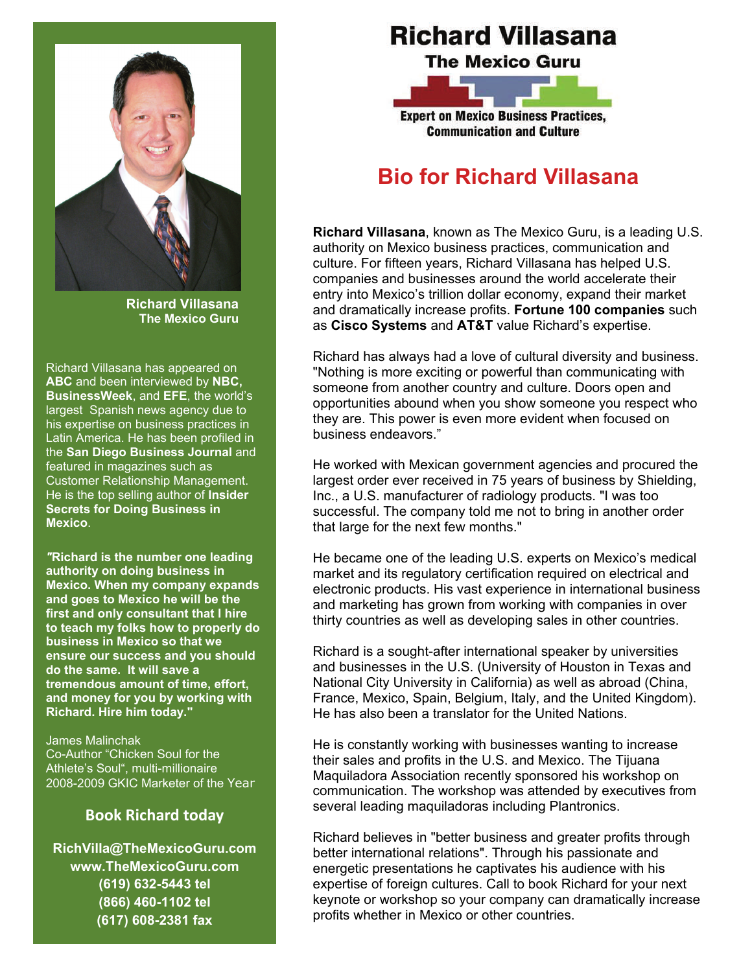

**Richard Villasana The Mexico Guru** 

Richard Villasana has appeared on **ABC** and been interviewed by **NBC, BusinessWeek**, and **EFE**, the world's largest Spanish news agency due to his expertise on business practices in Latin America. He has been profiled in the **San Diego Business Journal** and featured in magazines such as Customer Relationship Management. He is the top selling author of **Insider Secrets for Doing Business in Mexico**.

*"***Richard is the number one leading authority on doing business in Mexico. When my company expands and goes to Mexico he will be the first and only consultant that I hire to teach my folks how to properly do business in Mexico so that we ensure our success and you should do the same. It will save a tremendous amount of time, effort, and money for you by working with Richard. Hire him today."** 

James Malinchak Co-Author "Chicken Soul for the Athlete's Soul", multi-millionaire 2008-2009 GKIC Marketer of the Year

### **Book Richard today**

**RichVilla@TheMexicoGuru.com www.TheMexicoGuru.com (619) 632-5443 tel (866) 460-1102 tel (617) 608-2381 fax** 

# **Richard Villasana**

**The Mexico Guru** 



**Communication and Culture** 

# **Bio for Richard Villasana**

**Richard Villasana**, known as The Mexico Guru, is a leading U.S. authority on Mexico business practices, communication and culture. For fifteen years, Richard Villasana has helped U.S. companies and businesses around the world accelerate their entry into Mexico's trillion dollar economy, expand their market and dramatically increase profits. **Fortune 100 companies** such as **Cisco Systems** and **AT&T** value Richard's expertise.

Richard has always had a love of cultural diversity and business. "Nothing is more exciting or powerful than communicating with someone from another country and culture. Doors open and opportunities abound when you show someone you respect who they are. This power is even more evident when focused on business endeavors."

He worked with Mexican government agencies and procured the largest order ever received in 75 years of business by Shielding, Inc., a U.S. manufacturer of radiology products. "I was too successful. The company told me not to bring in another order that large for the next few months."

He became one of the leading U.S. experts on Mexico's medical market and its regulatory certification required on electrical and electronic products. His vast experience in international business and marketing has grown from working with companies in over thirty countries as well as developing sales in other countries.

Richard is a sought-after international speaker by universities and businesses in the U.S. (University of Houston in Texas and National City University in California) as well as abroad (China, France, Mexico, Spain, Belgium, Italy, and the United Kingdom). He has also been a translator for the United Nations.

He is constantly working with businesses wanting to increase their sales and profits in the U.S. and Mexico. The Tijuana Maquiladora Association recently sponsored his workshop on communication. The workshop was attended by executives from several leading maquiladoras including Plantronics.

Richard believes in "better business and greater profits through better international relations". Through his passionate and energetic presentations he captivates his audience with his expertise of foreign cultures. Call to book Richard for your next keynote or workshop so your company can dramatically increase profits whether in Mexico or other countries.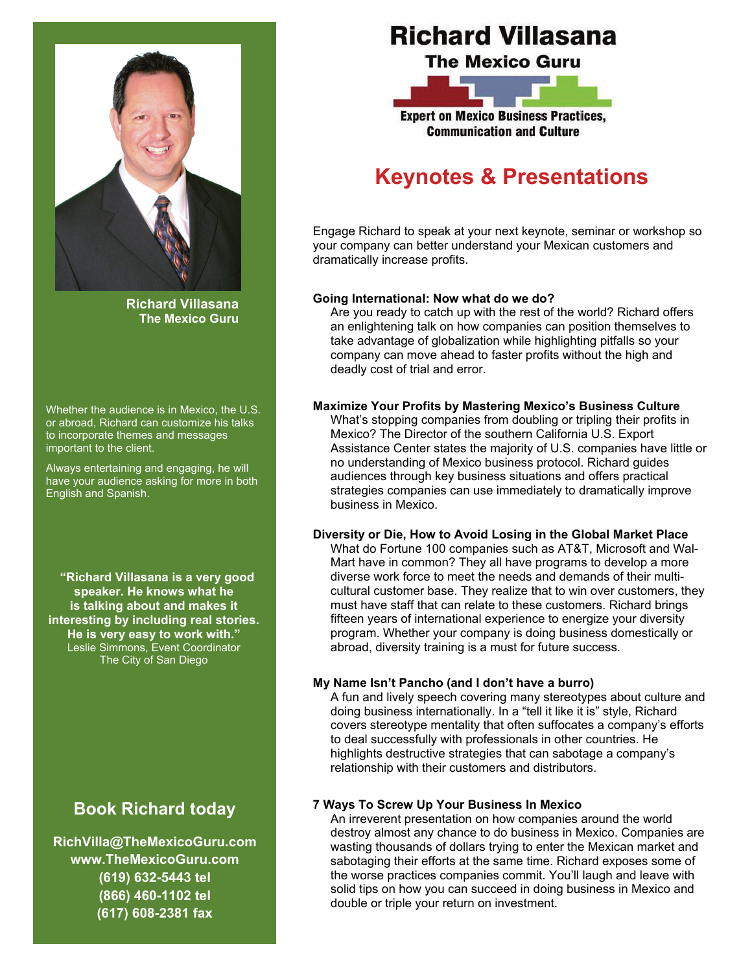

**Richard Villasana The Mexico Guru** 

Whether the audience is in Mexico, the U.S. or abroad, Richard can customize his talks to incorporate themes and messages important to the client.

Always entertaining and engaging, he will have your audience asking for more in both English and Spanish.

**"Richard Villasana is a very good speaker. He knows what he is talking about and makes it interesting by including real stories. He is very easy to work with."**  Leslie Simmons, Event Coordinator The City of San Diego

## **Book Richard today**

**RichVilla@TheMexicoGuru.com www.TheMexicoGuru.com (619) 632-5443 tel (866) 460-1102 tel (617) 608-2381 fax** 

# **Richard Villasana**

**The Mexico Guru** 



**Communication and Culture** 

# **Keynotes & Presentations**

Engage Richard to speak at your next keynote, seminar or workshop so your company can better understand your Mexican customers and dramatically increase profits.

#### **Going International: Now what do we do?**

Are you ready to catch up with the rest of the world? Richard offers an enlightening talk on how companies can position themselves to take advantage of globalization while highlighting pitfalls so your company can move ahead to faster profits without the high and deadly cost of trial and error.

#### **Maximize Your Profits by Mastering Mexico's Business Culture**

What's stopping companies from doubling or tripling their profits in Mexico? The Director of the southern California U.S. Export Assistance Center states the majority of U.S. companies have little or no understanding of Mexico business protocol. Richard guides audiences through key business situations and offers practical strategies companies can use immediately to dramatically improve business in Mexico.

#### **Diversity or Die, How to Avoid Losing in the Global Market Place**

What do Fortune 100 companies such as AT&T, Microsoft and Wal-Mart have in common? They all have programs to develop a more diverse work force to meet the needs and demands of their multicultural customer base. They realize that to win over customers, they must have staff that can relate to these customers. Richard brings fifteen years of international experience to energize your diversity program. Whether your company is doing business domestically or abroad, diversity training is a must for future success.

#### **My Name Isn't Pancho (and I don't have a burro)**

A fun and lively speech covering many stereotypes about culture and doing business internationally. In a "tell it like it is" style, Richard covers stereotype mentality that often suffocates a company's efforts to deal successfully with professionals in other countries. He highlights destructive strategies that can sabotage a company's relationship with their customers and distributors.

#### **7 Ways To Screw Up Your Business In Mexico**

An irreverent presentation on how companies around the world destroy almost any chance to do business in Mexico. Companies are wasting thousands of dollars trying to enter the Mexican market and sabotaging their efforts at the same time. Richard exposes some of the worse practices companies commit. You'll laugh and leave with solid tips on how you can succeed in doing business in Mexico and double or triple your return on investment.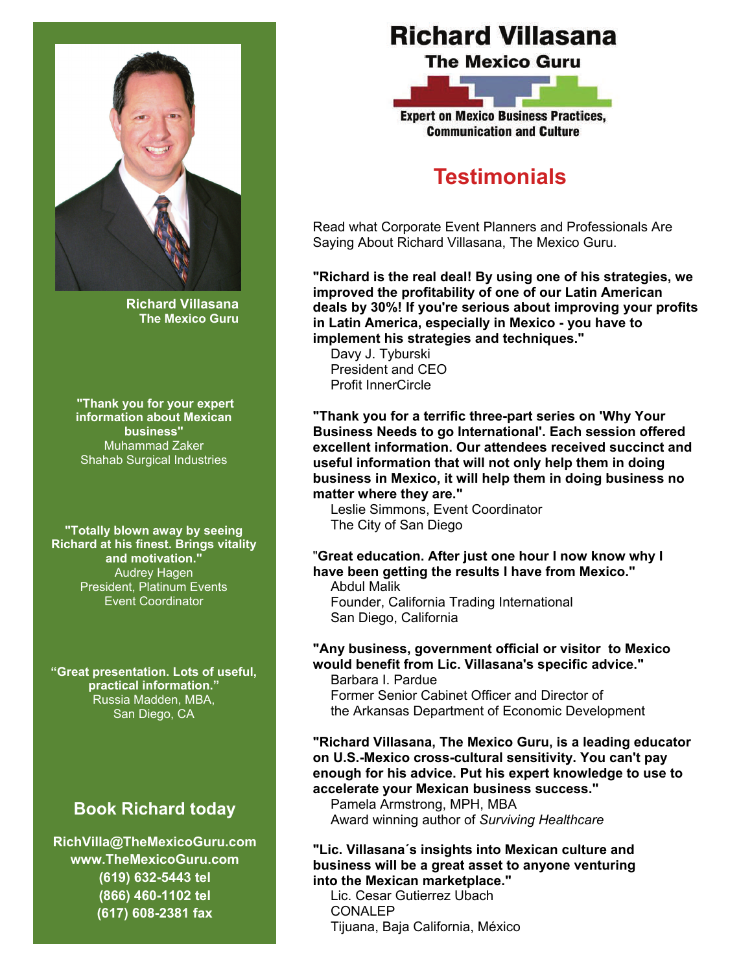

**Richard Villasana The Mexico Guru** 

**"Thank you for your expert information about Mexican business"** Muhammad Zaker Shahab Surgical Industries

**"Totally blown away by seeing Richard at his finest. Brings vitality and motivation."**  Audrey Hagen President, Platinum Events Event Coordinator

**"Great presentation. Lots of useful, practical information."**  Russia Madden, MBA, San Diego, CA

## **Book Richard today**

**RichVilla@TheMexicoGuru.com www.TheMexicoGuru.com (619) 632-5443 tel (866) 460-1102 tel (617) 608-2381 fax** 

# **Richard Villasana**

**The Mexico Guru** 



**Communication and Culture** 

# **Testimonials**

Read what Corporate Event Planners and Professionals Are Saying About Richard Villasana, The Mexico Guru.

**"Richard is the real deal! By using one of his strategies, we improved the profitability of one of our Latin American deals by 30%! If you're serious about improving your profits in Latin America, especially in Mexico - you have to implement his strategies and techniques."** 

Davy J. Tyburski President and CEO Profit InnerCircle

**"Thank you for a terrific three-part series on 'Why Your Business Needs to go International'. Each session offered excellent information. Our attendees received succinct and useful information that will not only help them in doing business in Mexico, it will help them in doing business no matter where they are."** 

Leslie Simmons, Event Coordinator The City of San Diego

### "**Great education. After just one hour I now know why I have been getting the results I have from Mexico."**

Abdul Malik Founder, California Trading International San Diego, California

#### **"Any business, government official or visitor to Mexico would benefit from Lic. Villasana's specific advice."**  Barbara I. Pardue

Former Senior Cabinet Officer and Director of the Arkansas Department of Economic Development

**"Richard Villasana, The Mexico Guru, is a leading educator on U.S.-Mexico cross-cultural sensitivity. You can't pay enough for his advice. Put his expert knowledge to use to accelerate your Mexican business success."** 

Pamela Armstrong, MPH, MBA Award winning author of *Surviving Healthcare*

#### **"Lic. Villasana´s insights into Mexican culture and business will be a great asset to anyone venturing into the Mexican marketplace."**

Lic. Cesar Gutierrez Ubach CONALEP Tijuana, Baja California, México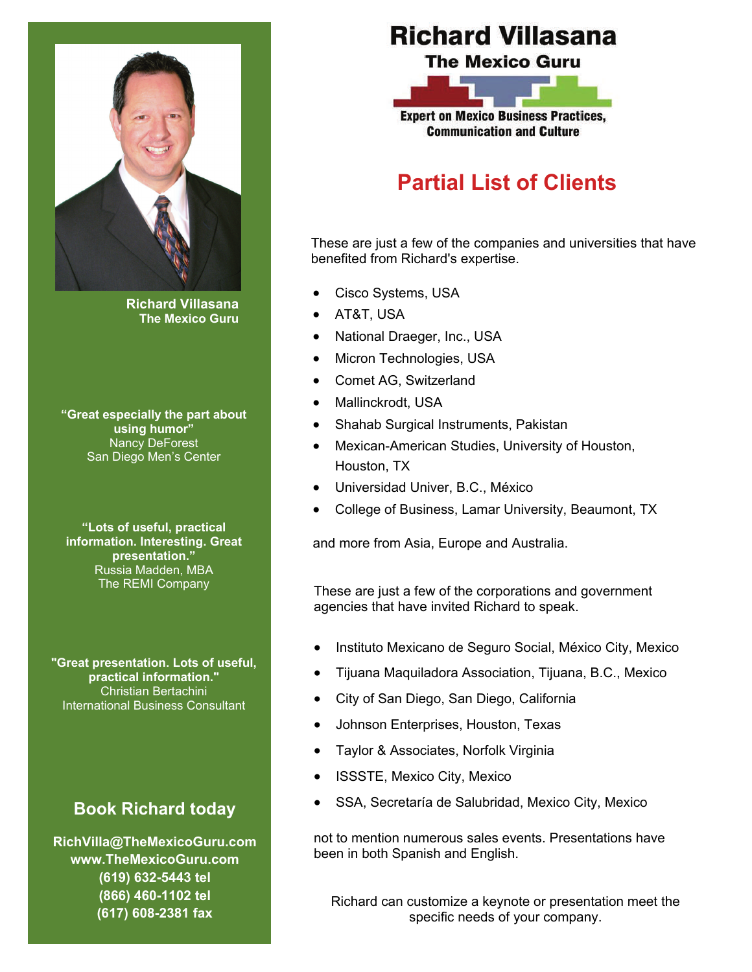

**Richard Villasana The Mexico Guru** 

**"Great especially the part about using humor"**  Nancy DeForest San Diego Men's Center

**"Lots of useful, practical information. Interesting. Great presentation."**  Russia Madden, MBA The REMI Company

**"Great presentation. Lots of useful, practical information."**  Christian Bertachini International Business Consultant

## **Book Richard today**

**RichVilla@TheMexicoGuru.com www.TheMexicoGuru.com (619) 632-5443 tel (866) 460-1102 tel (617) 608-2381 fax** 

# **Richard Villasana**

**The Mexico Guru** 



**Communication and Culture** 

# **Partial List of Clients**

These are just a few of the companies and universities that have benefited from Richard's expertise.

- Cisco Systems, USA
- AT&T, USA
- National Draeger, Inc., USA
- Micron Technologies, USA
- Comet AG, Switzerland
- Mallinckrodt, USA
- Shahab Surgical Instruments, Pakistan
- Mexican-American Studies, University of Houston, Houston, TX
- Universidad Univer, B.C., México
- College of Business, Lamar University, Beaumont, TX

and more from Asia, Europe and Australia.

These are just a few of the corporations and government agencies that have invited Richard to speak.

- Instituto Mexicano de Seguro Social, México City, Mexico
- Tijuana Maquiladora Association, Tijuana, B.C., Mexico
- City of San Diego, San Diego, California
- Johnson Enterprises, Houston, Texas
- Taylor & Associates, Norfolk Virginia
- ISSSTE, Mexico City, Mexico
- SSA, Secretaría de Salubridad, Mexico City, Mexico

not to mention numerous sales events. Presentations have been in both Spanish and English.

Richard can customize a keynote or presentation meet the specific needs of your company.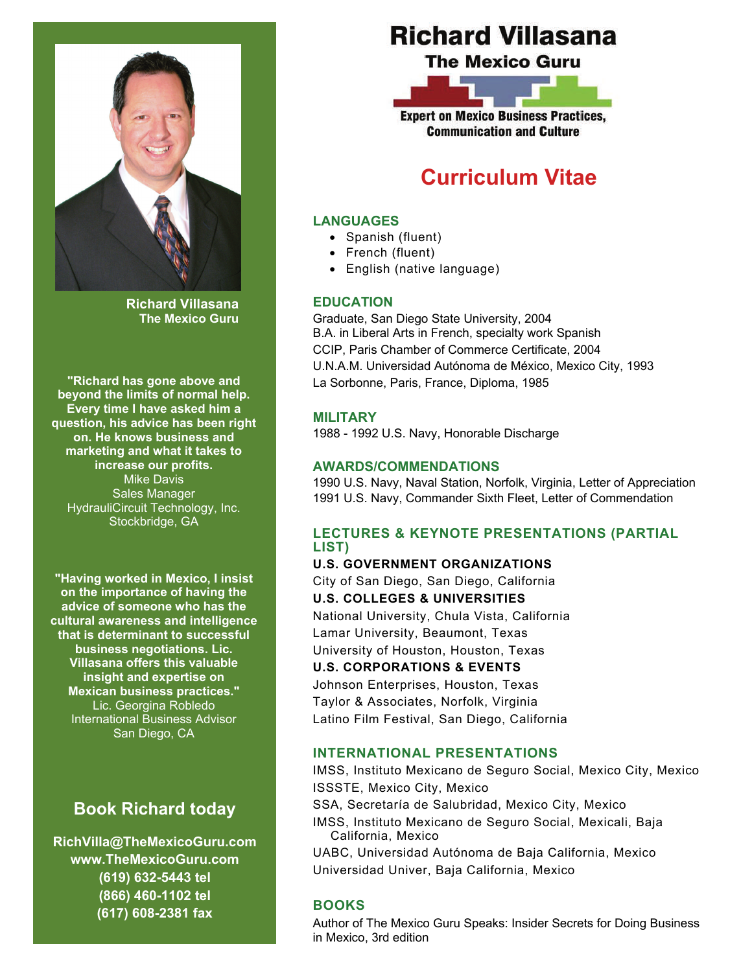

**Richard Villasana The Mexico Guru** 

**"Richard has gone above and beyond the limits of normal help. Every time I have asked him a question, his advice has been right on. He knows business and marketing and what it takes to increase our profits.** Mike Davis Sales Manager HydrauliCircuit Technology, Inc. Stockbridge, GA

**"Having worked in Mexico, I insist on the importance of having the advice of someone who has the cultural awareness and intelligence that is determinant to successful business negotiations. Lic. Villasana offers this valuable insight and expertise on Mexican business practices."**  Lic. Georgina Robledo International Business Advisor San Diego, CA

## **Book Richard today**

**RichVilla@TheMexicoGuru.com www.TheMexicoGuru.com (619) 632-5443 tel (866) 460-1102 tel (617) 608-2381 fax** 

# **Richard Villasana**

**The Mexico Guru** 



**Communication and Culture** 

# **Curriculum Vitae**

### **LANGUAGES**

- Spanish (fluent)
- French (fluent)
- English (native language)

### **EDUCATION**

Graduate, San Diego State University, 2004 B.A. in Liberal Arts in French, specialty work Spanish CCIP, Paris Chamber of Commerce Certificate, 2004 U.N.A.M. Universidad Autónoma de México, Mexico City, 1993 La Sorbonne, Paris, France, Diploma, 1985

### **MILITARY**

1988 - 1992 U.S. Navy, Honorable Discharge

### **AWARDS/COMMENDATIONS**

1990 U.S. Navy, Naval Station, Norfolk, Virginia, Letter of Appreciation 1991 U.S. Navy, Commander Sixth Fleet, Letter of Commendation

### **LECTURES & KEYNOTE PRESENTATIONS (PARTIAL LIST)**

**U.S. GOVERNMENT ORGANIZATIONS**  City of San Diego, San Diego, California **U.S. COLLEGES & UNIVERSITIES**  National University, Chula Vista, California Lamar University, Beaumont, Texas University of Houston, Houston, Texas **U.S. CORPORATIONS & EVENTS**  Johnson Enterprises, Houston, Texas Taylor & Associates, Norfolk, Virginia

Latino Film Festival, San Diego, California

### **INTERNATIONAL PRESENTATIONS**

IMSS, Instituto Mexicano de Seguro Social, Mexico City, Mexico ISSSTE, Mexico City, Mexico

SSA, Secretaría de Salubridad, Mexico City, Mexico

IMSS, Instituto Mexicano de Seguro Social, Mexicali, Baja California, Mexico

UABC, Universidad Autónoma de Baja California, Mexico Universidad Univer, Baja California, Mexico

### **BOOKS**

Author of The Mexico Guru Speaks: Insider Secrets for Doing Business in Mexico, 3rd edition